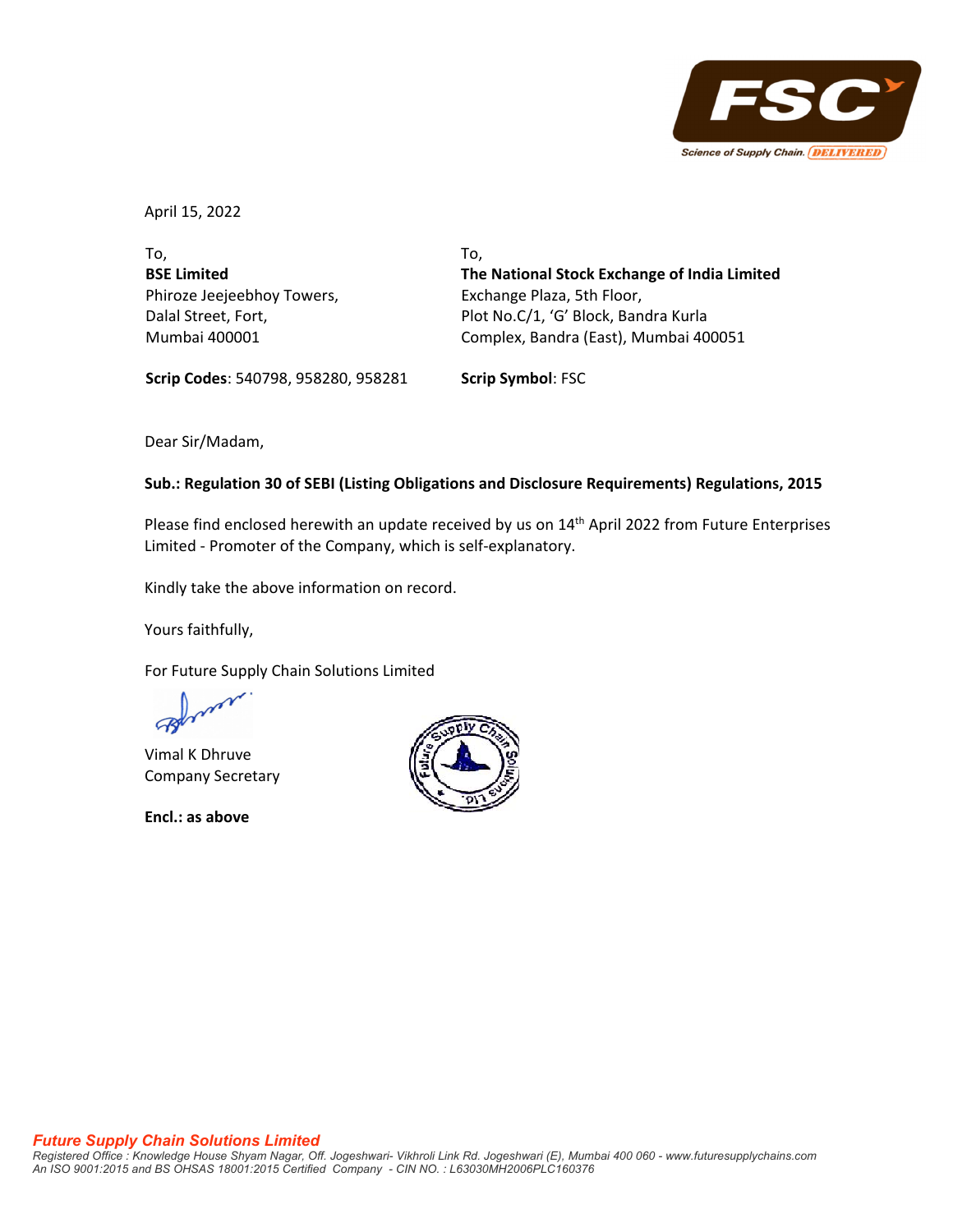

April 15, 2022

To, **BSE Limited** Phiroze Jeejeebhoy Towers, Dalal Street, Fort, Mumbai 400001

To, **The National Stock Exchange of India Limited** Exchange Plaza, 5th Floor, Plot No.C/1, 'G' Block, Bandra Kurla Complex, Bandra (East), Mumbai 400051

**Scrip Codes**: 540798, 958280, 958281 **Scrip Symbol**: FSC

Dear Sir/Madam,

## **Sub.: Regulation 30 of SEBI (Listing Obligations and Disclosure Requirements) Regulations, 2015**

Please find enclosed herewith an update received by us on 14<sup>th</sup> April 2022 from Future Enterprises Limited ‐ Promoter of the Company, which is self‐explanatory.

Kindly take the above information on record.

Yours faithfully,

For Future Supply Chain Solutions Limited

Vimal K Dhruve Company Secretary

**Encl.: as above**

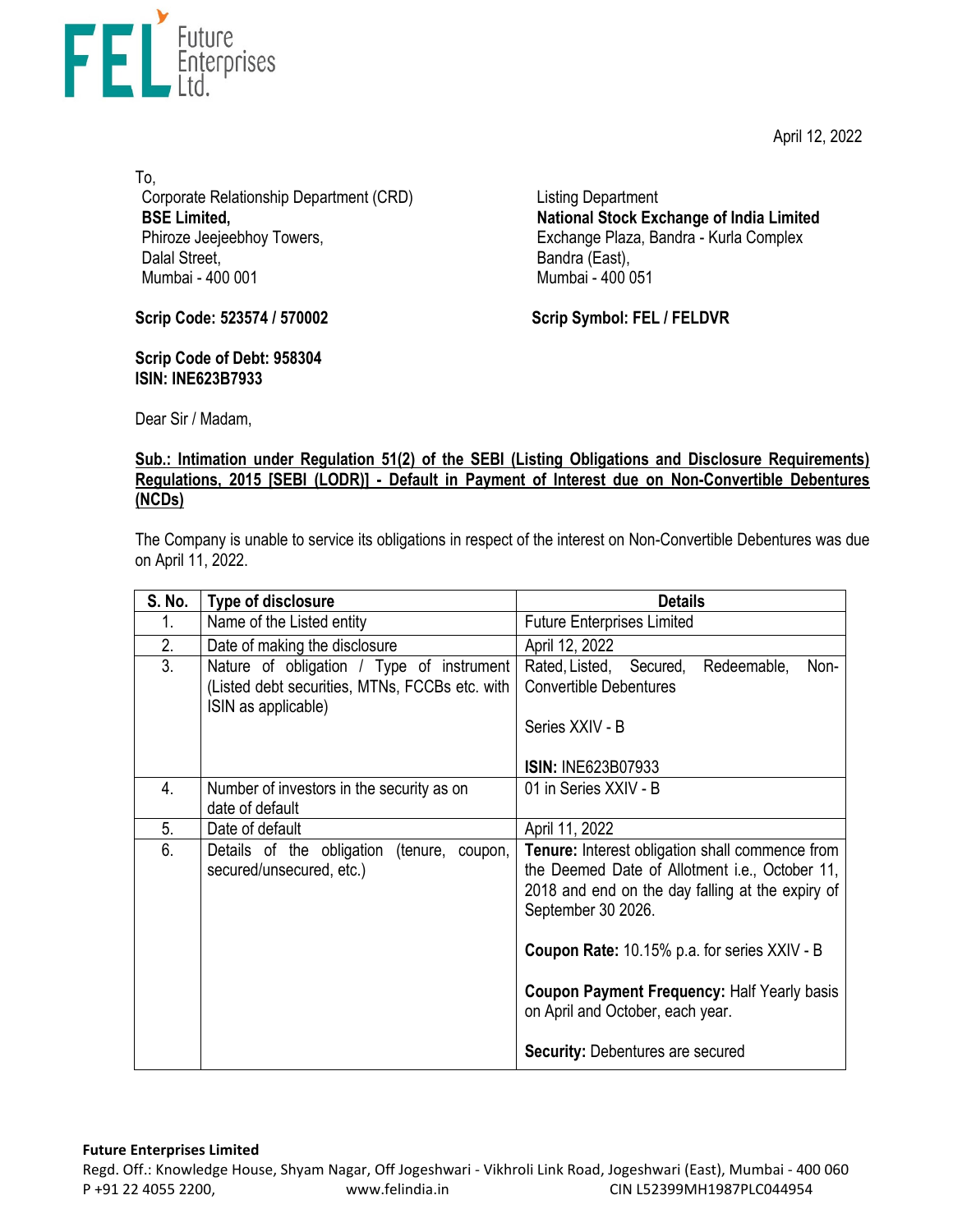April 12, 2022



To, Corporate Relationship Department (CRD) **BSE Limited,**  Phiroze Jeejeebhoy Towers, Dalal Street, Mumbai - 400 001

Listing Department **National Stock Exchange of India Limited**  Exchange Plaza, Bandra - Kurla Complex Bandra (East), Mumbai - 400 051

**Scrip Code: 523574 / 570002**

**Scrip Code of Debt: 958304 ISIN: INE623B7933** 

**Scrip Symbol: FEL / FELDVR**

Dear Sir / Madam,

## **Sub.: Intimation under Regulation 51(2) of the SEBI (Listing Obligations and Disclosure Requirements) Regulations, 2015 [SEBI (LODR)] - Default in Payment of Interest due on Non-Convertible Debentures (NCDs)**

The Company is unable to service its obligations in respect of the interest on Non-Convertible Debentures was due on April 11, 2022.

| S. No. | Type of disclosure                                                                                                 | <b>Details</b>                                                                                                                                                                     |
|--------|--------------------------------------------------------------------------------------------------------------------|------------------------------------------------------------------------------------------------------------------------------------------------------------------------------------|
| 1.     | Name of the Listed entity                                                                                          | <b>Future Enterprises Limited</b>                                                                                                                                                  |
| 2.     | Date of making the disclosure                                                                                      | April 12, 2022                                                                                                                                                                     |
| 3.     | Nature of obligation / Type of instrument<br>(Listed debt securities, MTNs, FCCBs etc. with<br>ISIN as applicable) | Rated, Listed, Secured,<br>Redeemable,<br>Non-<br><b>Convertible Debentures</b><br>Series XXIV - B                                                                                 |
|        |                                                                                                                    | <b>ISIN: INE623B07933</b>                                                                                                                                                          |
| 4.     | Number of investors in the security as on<br>date of default                                                       | 01 in Series XXIV - B                                                                                                                                                              |
| 5.     | Date of default                                                                                                    | April 11, 2022                                                                                                                                                                     |
| 6.     | Details of the obligation<br>(tenure, coupon,<br>secured/unsecured, etc.)                                          | <b>Tenure:</b> Interest obligation shall commence from<br>the Deemed Date of Allotment i.e., October 11,<br>2018 and end on the day falling at the expiry of<br>September 30 2026. |
|        |                                                                                                                    | Coupon Rate: 10.15% p.a. for series XXIV - B                                                                                                                                       |
|        |                                                                                                                    | Coupon Payment Frequency: Half Yearly basis<br>on April and October, each year.                                                                                                    |
|        |                                                                                                                    | <b>Security: Debentures are secured</b>                                                                                                                                            |

## **Future Enterprises Limited**

Regd. Off.: Knowledge House, Shyam Nagar, Off Jogeshwari ‐ Vikhroli Link Road, Jogeshwari (East), Mumbai ‐ 400 060 P +91 22 4055 2200, www.felindia.in CIN L52399MH1987PLC044954